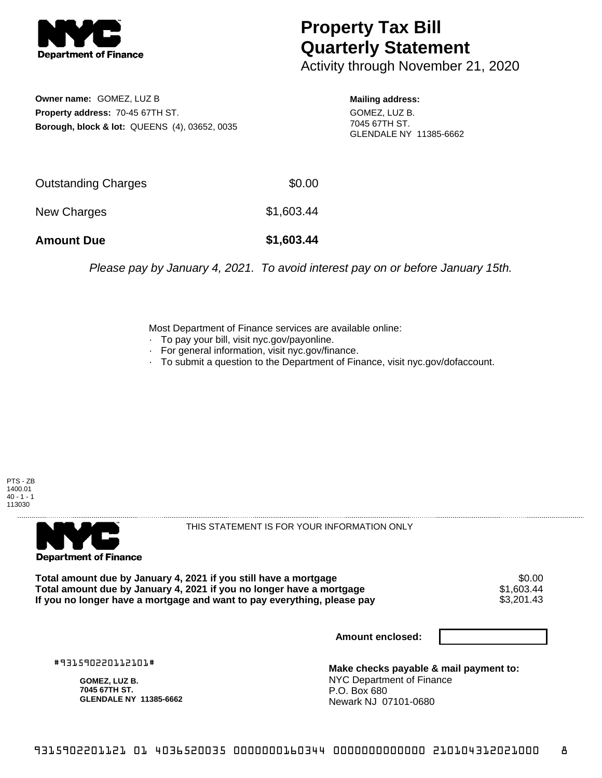

## **Property Tax Bill Quarterly Statement**

Activity through November 21, 2020

**Owner name:** GOMEZ, LUZ B **Property address:** 70-45 67TH ST. **Borough, block & lot:** QUEENS (4), 03652, 0035

**Mailing address:** GOMEZ, LUZ B. 7045 67TH ST. GLENDALE NY 11385-6662

| <b>Amount Due</b>   | \$1,603.44 |
|---------------------|------------|
| New Charges         | \$1,603.44 |
| Outstanding Charges | \$0.00     |

Please pay by January 4, 2021. To avoid interest pay on or before January 15th.

Most Department of Finance services are available online:

- · To pay your bill, visit nyc.gov/payonline.
- For general information, visit nyc.gov/finance.
- · To submit a question to the Department of Finance, visit nyc.gov/dofaccount.





THIS STATEMENT IS FOR YOUR INFORMATION ONLY

Total amount due by January 4, 2021 if you still have a mortgage \$0.00<br>Total amount due by January 4, 2021 if you no longer have a mortgage \$1.603.44 **Total amount due by January 4, 2021 if you no longer have a mortgage**  $$1,603.44$ **<br>If you no longer have a mortgage and want to pay everything, please pay**  $$3,201.43$ If you no longer have a mortgage and want to pay everything, please pay

**Amount enclosed:**

#931590220112101#

**GOMEZ, LUZ B. 7045 67TH ST. GLENDALE NY 11385-6662**

**Make checks payable & mail payment to:** NYC Department of Finance P.O. Box 680 Newark NJ 07101-0680